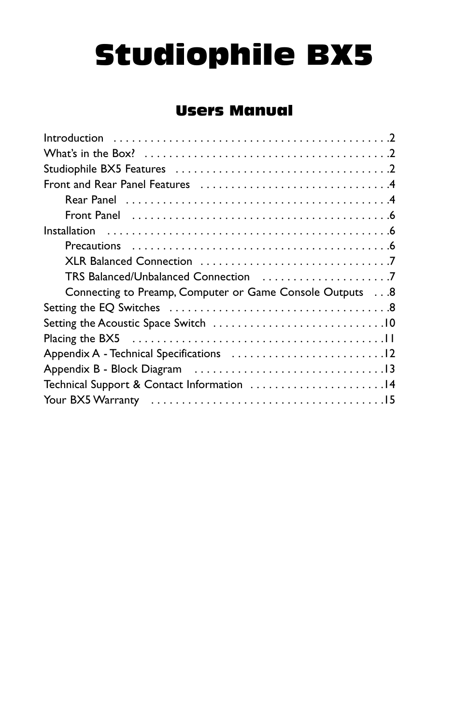# Studiophile BX5

# Users Manual

| Connecting to Preamp, Computer or Game Console Outputs 8 |
|----------------------------------------------------------|
|                                                          |
|                                                          |
|                                                          |
|                                                          |
|                                                          |
| Technical Support & Contact Information 14               |
|                                                          |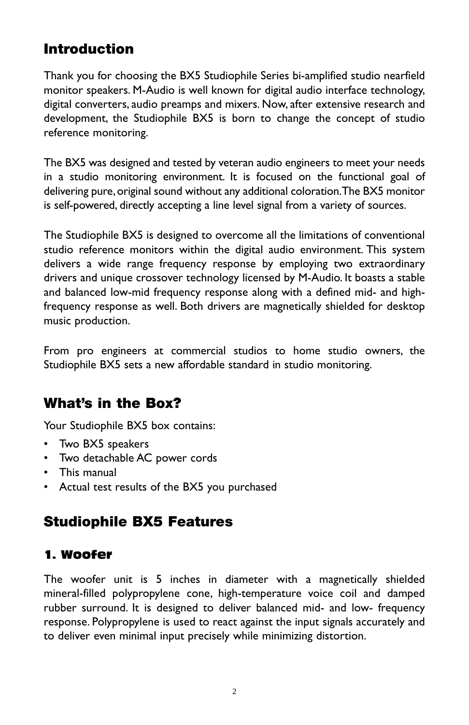## **Introduction**

Thank you for choosing the BX5 Studiophile Series bi-amplified studio nearfield monitor speakers. M-Audio is well known for digital audio interface technology, digital converters, audio preamps and mixers. Now, after extensive research and development, the Studiophile BX5 is born to change the concept of studio reference monitoring.

The BX5 was designed and tested by veteran audio engineers to meet your needs in a studio monitoring environment. It is focused on the functional goal of delivering pure, original sound without any additional coloration. The BX5 monitor is self-powered, directly accepting a line level signal from a variety of sources.

The Studiophile BX5 is designed to overcome all the limitations of conventional studio reference monitors within the digital audio environment. This system delivers a wide range frequency response by employing two extraordinary drivers and unique crossover technology licensed by M-Audio. It boasts a stable and balanced low-mid frequency response along with a defined mid- and highfrequency response as well. Both drivers are magnetically shielded for desktop music production.

From pro engineers at commercial studios to home studio owners, the Studiophile BX5 sets a new affordable standard in studio monitoring.

## **What's in the Box?**

Your Studiophile BX5 box contains:

- Two BX5 speakers
- Two detachable AC power cords
- This manual
- Actual test results of the BX5 you purchased

## **Studiophile BX5 Features**

## 1. Woofer

The woofer unit is 5 inches in diameter with a magnetically shielded mineral-filled polypropylene cone, high-temperature voice coil and damped rubber surround. It is designed to deliver balanced mid- and low- frequency response. Polypropylene is used to react against the input signals accurately and to deliver even minimal input precisely while minimizing distortion.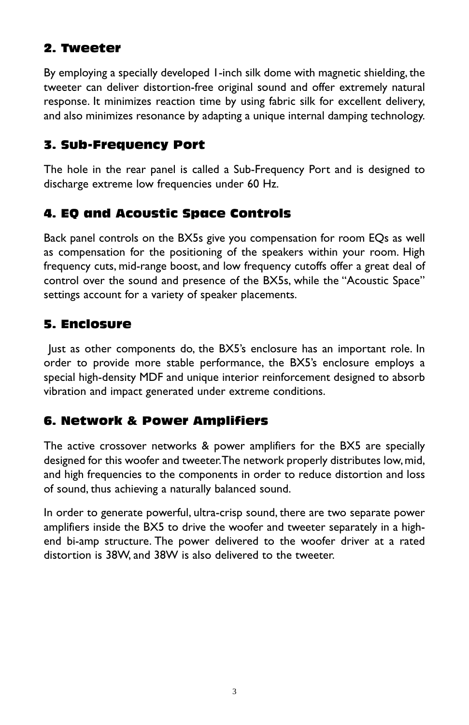## 2. Tweeter

By employing a specially developed 1-inch silk dome with magnetic shielding, the tweeter can deliver distortion-free original sound and offer extremely natural response. It minimizes reaction time by using fabric silk for excellent delivery, and also minimizes resonance by adapting a unique internal damping technology.

#### 3. Sub-Frequency Port

The hole in the rear panel is called a Sub-Frequency Port and is designed to discharge extreme low frequencies under 60 Hz.

## 4. EQ and Acoustic Space Controls

Back panel controls on the BX5s give you compensation for room EQs as well as compensation for the positioning of the speakers within your room. High frequency cuts, mid-range boost, and low frequency cutoffs offer a great deal of control over the sound and presence of the BX5s, while the "Acoustic Space" settings account for a variety of speaker placements.

## 5. Enclosure

Just as other components do, the BX5's enclosure has an important role. In order to provide more stable performance, the BX5's enclosure employs a special high-density MDF and unique interior reinforcement designed to absorb vibration and impact generated under extreme conditions.

## 6. Network & Power Amplifiers

The active crossover networks & power amplifiers for the BX5 are specially designed for this woofer and tweeter.The network properly distributes low, mid, and high frequencies to the components in order to reduce distortion and loss of sound, thus achieving a naturally balanced sound.

In order to generate powerful, ultra-crisp sound, there are two separate power amplifiers inside the BX5 to drive the woofer and tweeter separately in a highend bi-amp structure. The power delivered to the woofer driver at a rated distortion is 38W, and 38W is also delivered to the tweeter.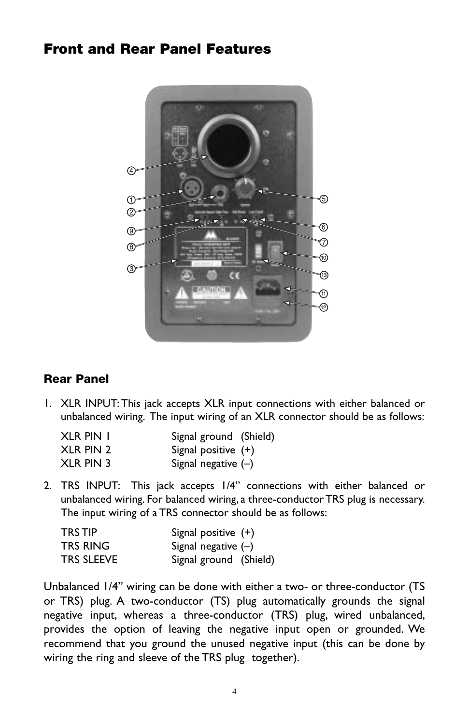## **Front and Rear Panel Features**



#### **Rear Panel**

1. XLR INPUT: This jack accepts XLR input connections with either balanced or unbalanced wiring. The input wiring of an XLR connector should be as follows:

| XLR PIN I | Signal ground (Shield) |
|-----------|------------------------|
| XLR PIN 2 | Signal positive $(+)$  |
| XLR PIN 3 | Signal negative $(-)$  |

2. TRS INPUT: This jack accepts 1/4" connections with either balanced or unbalanced wiring. For balanced wiring, a three-conductor TRS plug is necessary. The input wiring of a TRS connector should be as follows:

| TRS TIP.   | Signal positive $(+)$  |
|------------|------------------------|
| TRS RING   | Signal negative $(-)$  |
| TRS SLEEVE | Signal ground (Shield) |

Unbalanced 1/4" wiring can be done with either a two- or three-conductor (TS or TRS) plug. A two-conductor (TS) plug automatically grounds the signal negative input, whereas a three-conductor (TRS) plug, wired unbalanced, provides the option of leaving the negative input open or grounded. We recommend that you ground the unused negative input (this can be done by wiring the ring and sleeve of the TRS plug together).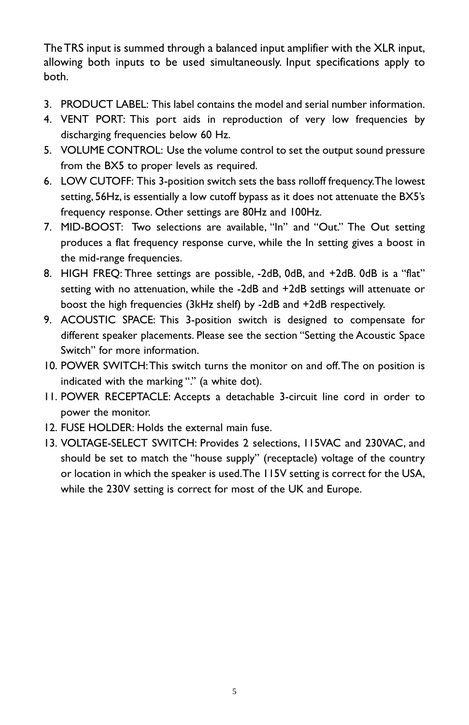The TRS input is summed through a balanced input amplifier with the XLR input, allowing both inputs to be used simultaneously. Input specifications apply to both.

- 3. PRODUCT LABEL: This label contains the model and serial number information.
- 4. VENT PORT: This port aids in reproduction of very low frequencies by discharging frequencies below 60 Hz.
- 5. VOLUME CONTROL: Use the volume control to set the output sound pressure from the BX5 to proper levels as required.
- 6. LOW CUTOFF: This 3-position switch sets the bass rolloff frequency.The lowest setting, 56Hz, is essentially a low cutoff bypass as it does not attenuate the BX5's frequency response. Other settings are 80Hz and 100Hz.
- 7. MID-BOOST: Two selections are available, "In" and "Out." The Out setting produces a flat frequency response curve, while the In setting gives a boost in the mid-range frequencies.
- 8. HIGH FREQ: Three settings are possible, -2dB, 0dB, and +2dB. 0dB is a "flat" setting with no attenuation, while the -2dB and +2dB settings will attenuate or boost the high frequencies (3kHz shelf) by -2dB and +2dB respectively.
- 9. ACOUSTIC SPACE: This 3-position switch is designed to compensate for different speaker placements. Please see the section "Setting the Acoustic Space Switch" for more information.
- 10. POWER SWITCH:This switch turns the monitor on and off.The on position is indicated with the marking "." (a white dot).
- 11. POWER RECEPTACLE: Accepts a detachable 3-circuit line cord in order to power the monitor.
- 12. FUSE HOLDER: Holds the external main fuse.
- 13. VOLTAGE-SELECT SWITCH: Provides 2 selections, 115VAC and 230VAC, and should be set to match the "house supply" (receptacle) voltage of the country or location in which the speaker is used.The 115V setting is correct for the USA, while the 230V setting is correct for most of the UK and Europe.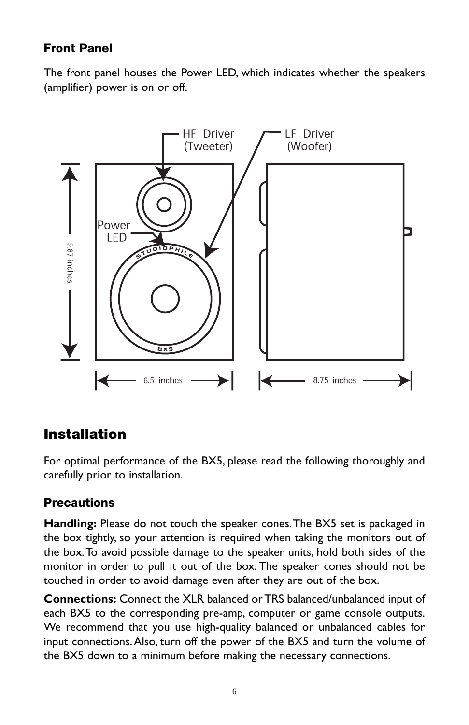## **Front Panel**

The front panel houses the Power LED, which indicates whether the speakers (amplifier) power is on or off.



## **Installation**

For optimal performance of the BX5, please read the following thoroughly and carefully prior to installation.

#### **Precautions**

**Handling:** Please do not touch the speaker cones.The BX5 set is packaged in the box tightly, so your attention is required when taking the monitors out of the box.To avoid possible damage to the speaker units, hold both sides of the monitor in order to pull it out of the box. The speaker cones should not be touched in order to avoid damage even after they are out of the box.

**Connections:** Connect the XLR balanced or TRS balanced/unbalanced input of each BX5 to the corresponding pre-amp, computer or game console outputs. We recommend that you use high-quality balanced or unbalanced cables for input connections.Also, turn off the power of the BX5 and turn the volume of the BX5 down to a minimum before making the necessary connections.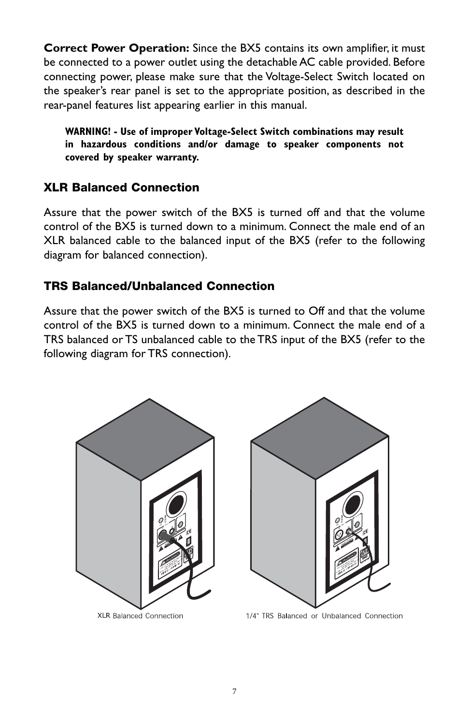**Correct Power Operation:** Since the BX5 contains its own amplifier, it must be connected to a power outlet using the detachable AC cable provided. Before connecting power, please make sure that the Voltage-Select Switch located on the speaker's rear panel is set to the appropriate position, as described in the rear-panel features list appearing earlier in this manual.

**WARNING! - Use of improper Voltage-Select Switch combinations may result in hazardous conditions and/or damage to speaker components not covered by speaker warranty.**

#### **XLR Balanced Connection**

Assure that the power switch of the BX5 is turned off and that the volume control of the BX5 is turned down to a minimum. Connect the male end of an XLR balanced cable to the balanced input of the BX5 (refer to the following diagram for balanced connection).

## **TRS Balanced/Unbalanced Connection**

Assure that the power switch of the BX5 is turned to Off and that the volume control of the BX5 is turned down to a minimum. Connect the male end of a TRS balanced or TS unbalanced cable to the TRS input of the BX5 (refer to the following diagram for TRS connection).



XLR Balanced Connection



1/4" TRS Balanced or Unbalanced Connection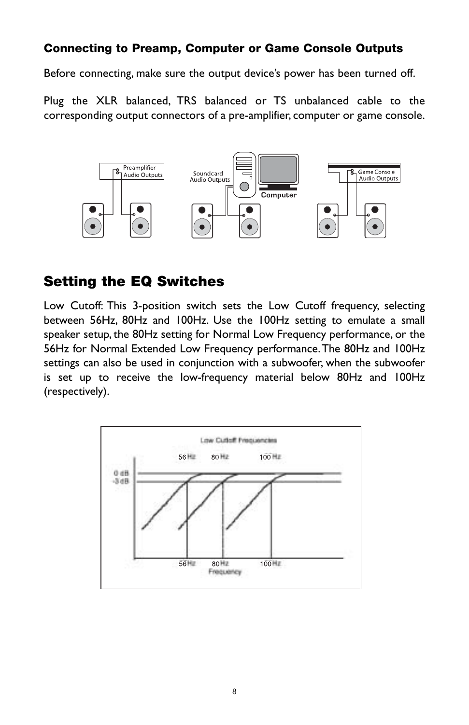#### **Connecting to Preamp, Computer or Game Console Outputs**

Before connecting, make sure the output device's power has been turned off.

Plug the XLR balanced, TRS balanced or TS unbalanced cable to the corresponding output connectors of a pre-amplifier, computer or game console.



## **Setting the EQ Switches**

Low Cutoff: This 3-position switch sets the Low Cutoff frequency, selecting between 56Hz, 80Hz and 100Hz. Use the 100Hz setting to emulate a small speaker setup, the 80Hz setting for Normal Low Frequency performance, or the 56Hz for Normal Extended Low Frequency performance.The 80Hz and 100Hz settings can also be used in conjunction with a subwoofer, when the subwoofer is set up to receive the low-frequency material below 80Hz and 100Hz (respectively).

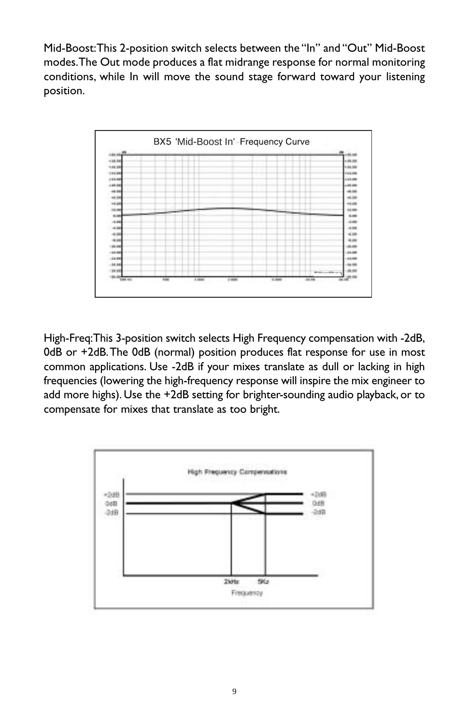Mid-Boost:This 2-position switch selects between the "In" and "Out" Mid-Boost modes.The Out mode produces a flat midrange response for normal monitoring conditions, while In will move the sound stage forward toward your listening position.



High-Freq:This 3-position switch selects High Frequency compensation with -2dB, 0dB or +2dB.The 0dB (normal) position produces flat response for use in most common applications. Use -2dB if your mixes translate as dull or lacking in high frequencies (lowering the high-frequency response will inspire the mix engineer to add more highs). Use the +2dB setting for brighter-sounding audio playback, or to compensate for mixes that translate as too bright.

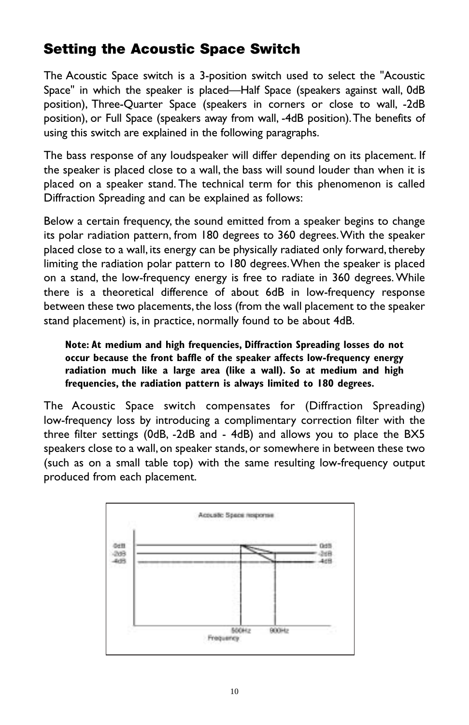# **Setting the Acoustic Space Switch**

The Acoustic Space switch is a 3-position switch used to select the "Acoustic Space" in which the speaker is placed—Half Space (speakers against wall, 0dB position), Three-Quarter Space (speakers in corners or close to wall, -2dB position), or Full Space (speakers away from wall, -4dB position).The benefits of using this switch are explained in the following paragraphs.

The bass response of any loudspeaker will differ depending on its placement. If the speaker is placed close to a wall, the bass will sound louder than when it is placed on a speaker stand. The technical term for this phenomenon is called Diffraction Spreading and can be explained as follows:

Below a certain frequency, the sound emitted from a speaker begins to change its polar radiation pattern, from 180 degrees to 360 degrees.With the speaker placed close to a wall, its energy can be physically radiated only forward, thereby limiting the radiation polar pattern to 180 degrees.When the speaker is placed on a stand, the low-frequency energy is free to radiate in 360 degrees. While there is a theoretical difference of about 6dB in low-frequency response between these two placements, the loss (from the wall placement to the speaker stand placement) is, in practice, normally found to be about 4dB.

**Note: At medium and high frequencies, Diffraction Spreading losses do not occur because the front baffle of the speaker affects low-frequency energy radiation much like a large area (like a wall). So at medium and high frequencies, the radiation pattern is always limited to 180 degrees.**

The Acoustic Space switch compensates for (Diffraction Spreading) low-frequency loss by introducing a complimentary correction filter with the three filter settings (0dB, -2dB and - 4dB) and allows you to place the BX5 speakers close to a wall, on speaker stands, or somewhere in between these two (such as on a small table top) with the same resulting low-frequency output produced from each placement.

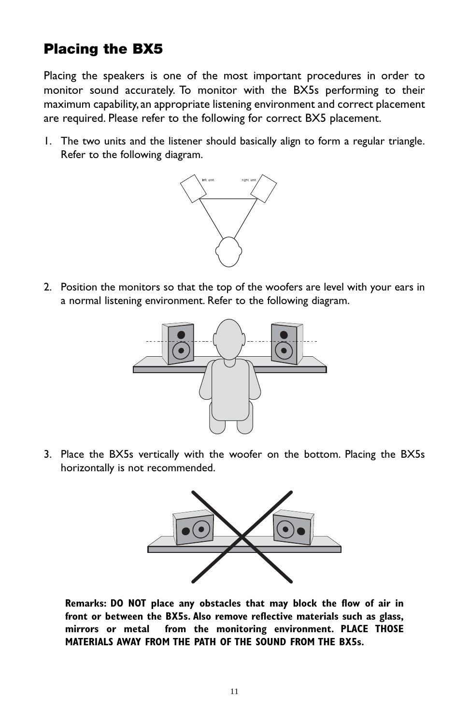# **Placing the BX5**

Placing the speakers is one of the most important procedures in order to monitor sound accurately. To monitor with the BX5s performing to their maximum capability,an appropriate listening environment and correct placement are required. Please refer to the following for correct BX5 placement.

1. The two units and the listener should basically align to form a regular triangle. Refer to the following diagram.



2. Position the monitors so that the top of the woofers are level with your ears in a normal listening environment. Refer to the following diagram.



3. Place the BX5s vertically with the woofer on the bottom. Placing the BX5s horizontally is not recommended.



**Remarks: DO NOT place any obstacles that may block the flow of air in front or between the BX5s. Also remove reflective materials such as glass, mirrors or metal from the monitoring environment. PLACE THOSE MATERIALS AWAY FROM THE PATH OF THE SOUND FROM THE BX5s.**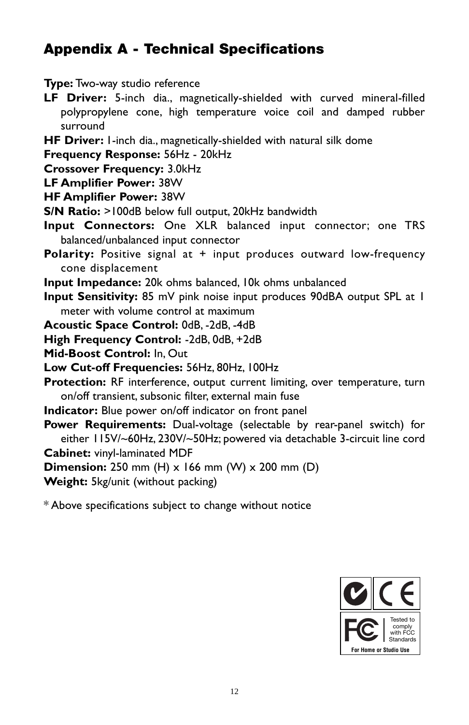# **Appendix A - Technical Specifications**

#### **Type:** Two-way studio reference

- **LF Driver:** 5-inch dia., magnetically-shielded with curved mineral-filled polypropylene cone, high temperature voice coil and damped rubber surround
- **HF Driver:** 1-inch dia., magnetically-shielded with natural silk dome
- **Frequency Response:** 56Hz 20kHz
- **Crossover Frequency:** 3.0kHz
- **LF Amplifier Power:** 38W
- **HF Amplifier Power:** 38W
- **S/N Ratio:** >100dB below full output, 20kHz bandwidth
- **Input Connectors:** One XLR balanced input connector; one TRS balanced/unbalanced input connector
- **Polarity:** Positive signal at + input produces outward low-frequency cone displacement
- **Input Impedance:** 20k ohms balanced, 10k ohms unbalanced
- **Input Sensitivity:** 85 mV pink noise input produces 90dBA output SPL at 1 meter with volume control at maximum
- **Acoustic Space Control:** 0dB, -2dB, -4dB
- **High Frequency Control:** -2dB, 0dB, +2dB
- **Mid-Boost Control:** In, Out
- **Low Cut-off Frequencies:** 56Hz, 80Hz, 100Hz
- **Protection:** RF interference, output current limiting, over temperature, turn on/off transient, subsonic filter, external main fuse
- **Indicator:** Blue power on/off indicator on front panel
- **Power Requirements:** Dual-voltage (selectable by rear-panel switch) for either 115V/~60Hz, 230V/~50Hz; powered via detachable 3-circuit line cord **Cabinet:** vinyl-laminated MDF
- **Dimension:** 250 mm (H) x 166 mm (W) x 200 mm (D)
- **Weight:** 5kg/unit (without packing)

\* Above specifications subject to change without notice

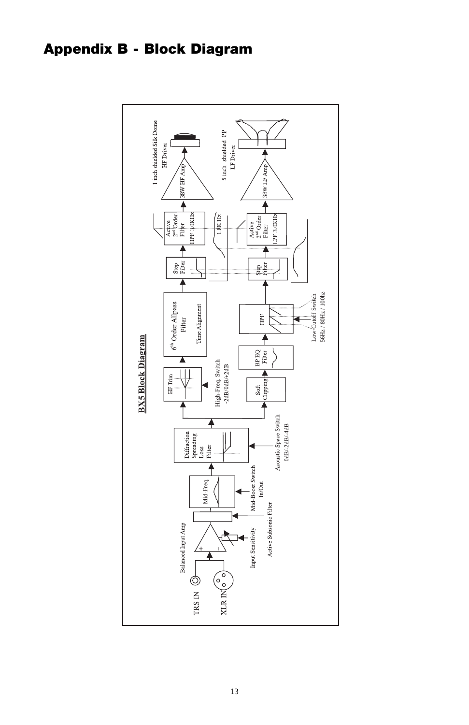# **Appendix B - Block Diagram**

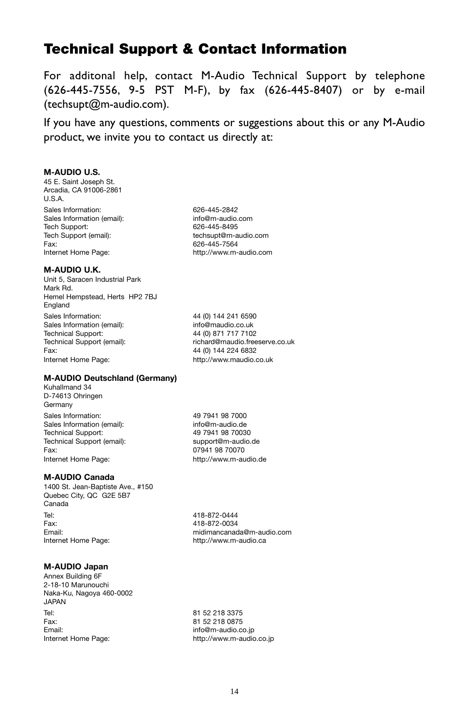## **Technical Support & Contact Information**

For additonal help, contact M-Audio Technical Support by telephone (626-445-7556, 9-5 PST M-F), by fax (626-445-8407) or by e-mail (techsupt@m-audio.com).

If you have any questions, comments or suggestions about this or any M-Audio product, we invite you to contact us directly at:

#### **M-AUDIO U.S.**

45 E. Saint Joseph St. Arcadia, CA 91006-2861 U.S.A. Sales Information: 626-445-2842 Sales Information (email): info@m-audio.com<br>Tech Support: 626-445-8495 Tech Support: 626-445-8495<br>Tech Support (email): the fechsupt@m-a Fax: 626-445-7564<br>Internet Home Page: http://www.m-

#### **M-AUDIO U.K.**

Unit 5, Saracen Industrial Park Mark Rd. Hemel Hempstead, Herts HP2 7BJ England Sales Information: 44 (0) 144 241 6590 Sales Information (email): info@maudio.co.uk<br>Technical Support: 44 (0) 871 717 7102 Technical Support (email): richard@maudio.freeserve.co.uk Fax: 44 (0) 144 224 6832 Internet Home Page: http://www.maudio.co.uk

tech supt@m-audio.com http://www.m-audio.com

44 (0) 871 717 7102

#### **M-AUDIO Deutschland (Germany)**

Kuhallmand 34 D-74613 Ohringen Germany Sales Information: 49 7941 98 7000<br>Sales Information (email): info@m-audio de Sales Information (email):<br>Technical Support: Technical Support (email):<br>
Fax: 07941 98 70070

#### **M-AUDIO Canada**

1400 St. Jean-Baptiste Ave., #150 Quebec City, QC G2E 5B7 Canada Tel: 418-872-0444 Fax: 418-872-0034 Email:<br>
Internet Home Page:<br>
Internet Home Page:<br>
internet Alexandre Page:<br>
and the Multip://www.m-audio.ca

#### **M-AUDIO Japan**

Annex Building 6F 2-18-10 Marunouchi Naka-Ku, Nagoya 460-0002 JAPAN Tel: 81 52 218 3375<br>
Fax: 81 52 218 0875 Fax: 81 52 218 0875<br>
Fmail: info@m-audio.com Email:<br>
Internet Home Page:<br>
internet Home Page:<br>
internet mome Page:<br>
internet mome Page:

49 7941 98 70030 07941 98 70070 Internet Home Page: http://www.m-audio.de

http://www.m-audio.ca

http://www.m-audio.co.jp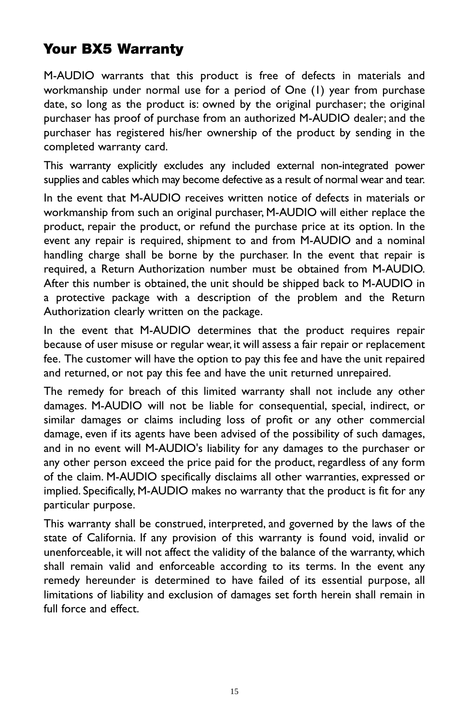# **Your BX5 Warranty**

M-AUDIO warrants that this product is free of defects in materials and workmanship under normal use for a period of One (1) year from purchase date, so long as the product is: owned by the original purchaser; the original purchaser has proof of purchase from an authorized M-AUDIO dealer; and the purchaser has registered his/her ownership of the product by sending in the completed warranty card.

This warranty explicitly excludes any included external non-integrated power supplies and cables which may become defective as a result of normal wear and tear.

In the event that M-AUDIO receives written notice of defects in materials or workmanship from such an original purchaser, M-AUDIO will either replace the product, repair the product, or refund the purchase price at its option. In the event any repair is required, shipment to and from M-AUDIO and a nominal handling charge shall be borne by the purchaser. In the event that repair is required, a Return Authorization number must be obtained from M-AUDIO. After this number is obtained, the unit should be shipped back to M-AUDIO in a protective package with a description of the problem and the Return Authorization clearly written on the package.

In the event that M-AUDIO determines that the product requires repair because of user misuse or regular wear, it will assess a fair repair or replacement fee. The customer will have the option to pay this fee and have the unit repaired and returned, or not pay this fee and have the unit returned unrepaired.

The remedy for breach of this limited warranty shall not include any other damages. M-AUDIO will not be liable for consequential, special, indirect, or similar damages or claims including loss of profit or any other commercial damage, even if its agents have been advised of the possibility of such damages, and in no event will M-AUDIO's liability for any damages to the purchaser or any other person exceed the price paid for the product, regardless of any form of the claim. M-AUDIO specifically disclaims all other warranties, expressed or implied. Specifically, M-AUDIO makes no warranty that the product is fit for any particular purpose.

This warranty shall be construed, interpreted, and governed by the laws of the state of California. If any provision of this warranty is found void, invalid or unenforceable, it will not affect the validity of the balance of the warranty, which shall remain valid and enforceable according to its terms. In the event any remedy hereunder is determined to have failed of its essential purpose, all limitations of liability and exclusion of damages set forth herein shall remain in full force and effect.